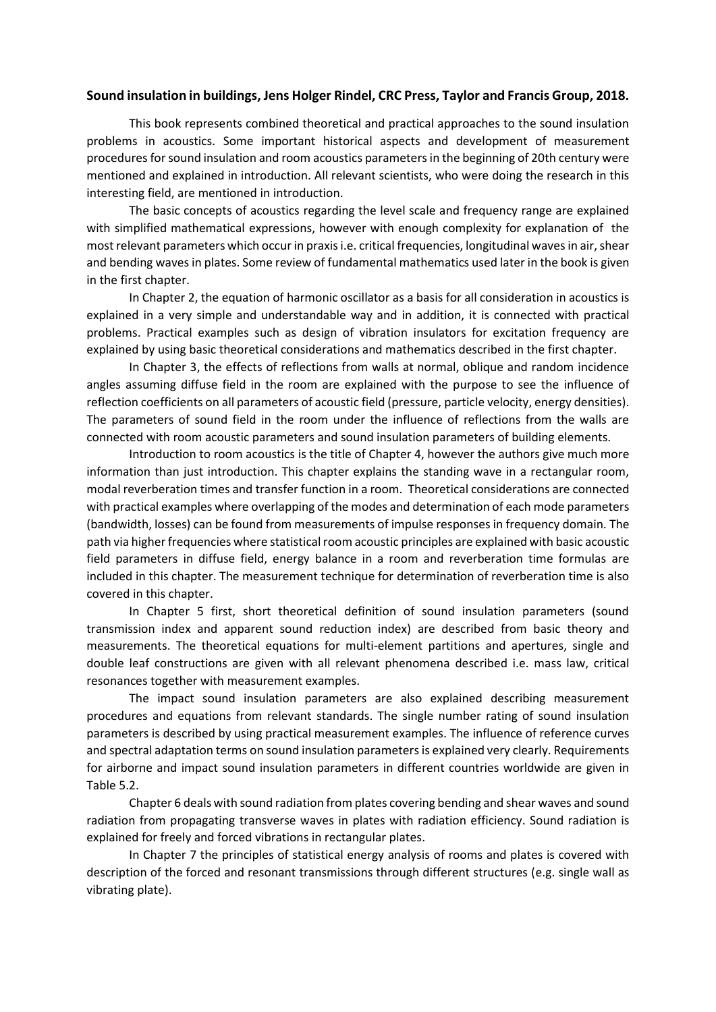## **Sound insulation in buildings, Jens Holger Rindel, CRC Press, Taylor and Francis Group, 2018.**

This book represents combined theoretical and practical approaches to the sound insulation problems in acoustics. Some important historical aspects and development of measurement proceduresfor sound insulation and room acoustics parameters in the beginning of 20th century were mentioned and explained in introduction. All relevant scientists, who were doing the research in this interesting field, are mentioned in introduction.

The basic concepts of acoustics regarding the level scale and frequency range are explained with simplified mathematical expressions, however with enough complexity for explanation of the most relevant parameters which occur in praxis i.e. critical frequencies, longitudinal waves in air, shear and bending waves in plates. Some review of fundamental mathematics used later in the book is given in the first chapter.

In Chapter 2, the equation of harmonic oscillator as a basis for all consideration in acoustics is explained in a very simple and understandable way and in addition, it is connected with practical problems. Practical examples such as design of vibration insulators for excitation frequency are explained by using basic theoretical considerations and mathematics described in the first chapter.

In Chapter 3, the effects of reflections from walls at normal, oblique and random incidence angles assuming diffuse field in the room are explained with the purpose to see the influence of reflection coefficients on all parameters of acoustic field (pressure, particle velocity, energy densities). The parameters of sound field in the room under the influence of reflections from the walls are connected with room acoustic parameters and sound insulation parameters of building elements.

Introduction to room acoustics is the title of Chapter 4, however the authors give much more information than just introduction. This chapter explains the standing wave in a rectangular room, modal reverberation times and transfer function in a room. Theoretical considerations are connected with practical examples where overlapping of the modes and determination of each mode parameters (bandwidth, losses) can be found from measurements of impulse responses in frequency domain. The path via higher frequencies where statistical room acoustic principles are explained with basic acoustic field parameters in diffuse field, energy balance in a room and reverberation time formulas are included in this chapter. The measurement technique for determination of reverberation time is also covered in this chapter.

In Chapter 5 first, short theoretical definition of sound insulation parameters (sound transmission index and apparent sound reduction index) are described from basic theory and measurements. The theoretical equations for multi-element partitions and apertures, single and double leaf constructions are given with all relevant phenomena described i.e. mass law, critical resonances together with measurement examples.

The impact sound insulation parameters are also explained describing measurement procedures and equations from relevant standards. The single number rating of sound insulation parameters is described by using practical measurement examples. The influence of reference curves and spectral adaptation terms on sound insulation parameters is explained very clearly. Requirements for airborne and impact sound insulation parameters in different countries worldwide are given in Table 5.2.

Chapter 6 deals with sound radiation from plates covering bending and shear waves and sound radiation from propagating transverse waves in plates with radiation efficiency. Sound radiation is explained for freely and forced vibrations in rectangular plates.

In Chapter 7 the principles of statistical energy analysis of rooms and plates is covered with description of the forced and resonant transmissions through different structures (e.g. single wall as vibrating plate).